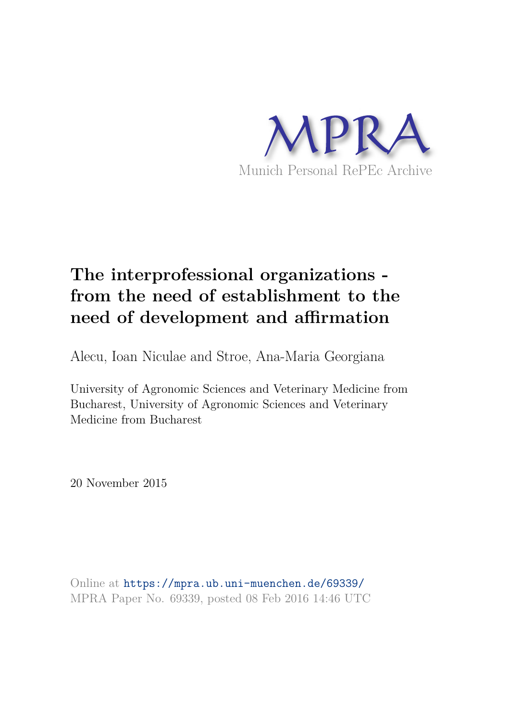

# **The interprofessional organizations from the need of establishment to the need of development and affirmation**

Alecu, Ioan Niculae and Stroe, Ana-Maria Georgiana

University of Agronomic Sciences and Veterinary Medicine from Bucharest, University of Agronomic Sciences and Veterinary Medicine from Bucharest

20 November 2015

Online at https://mpra.ub.uni-muenchen.de/69339/ MPRA Paper No. 69339, posted 08 Feb 2016 14:46 UTC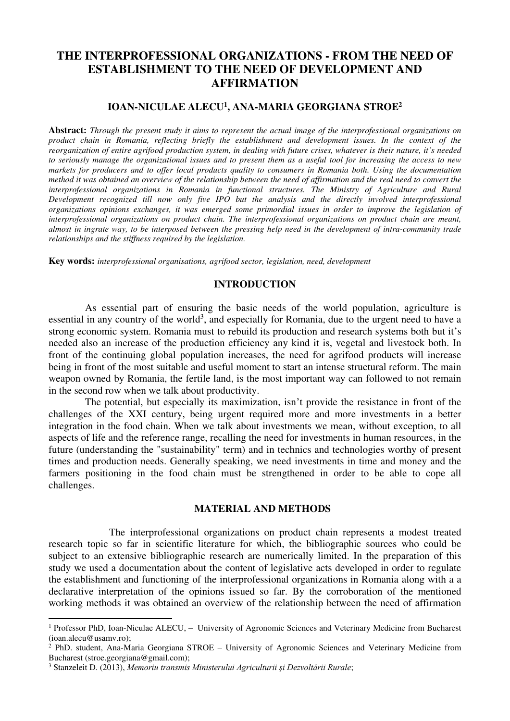# **THE INTERPROFESSIONAL ORGANIZATIONS - FROM THE NEED OF ESTABLISHMENT TO THE NEED OF DEVELOPMENT AND AFFIRMATION**

# **IOAN-NICULAE ALECU<sup>1</sup> , ANA-MARIA GEORGIANA STROE<sup>2</sup>**

**Abstract:** *Through the present study it aims to represent the actual image of the interprofessional organizations on product chain in Romania, reflecting briefly the establishment and development issues. In the context of the reorganization of entire agrifood production system, in dealing with future crises, whatever is their nature, it's needed to seriously manage the organizational issues and to present them as a useful tool for increasing the access to new markets for producers and to offer local products quality to consumers in Romania both. Using the documentation method it was obtained an overview of the relationship between the need of affirmation and the real need to convert the interprofessional organizations in Romania in functional structures. The Ministry of Agriculture and Rural Development recognized till now only five IPO but the analysis and the directly involved interprofessional organizations opinions exchanges, it was emerged some primordial issues in order to improve the legislation of interprofessional organizations on product chain. The interprofessional organizations on product chain are meant, almost in ingrate way, to be interposed between the pressing help need in the development of intra-community trade relationships and the stiffness required by the legislation.* 

**Key words:** *interprofessional organisations, agrifood sector, legislation, need, development*

#### **INTRODUCTION**

As essential part of ensuring the basic needs of the world population, agriculture is essential in any country of the world<sup>3</sup>, and especially for Romania, due to the urgent need to have a strong economic system. Romania must to rebuild its production and research systems both but it's needed also an increase of the production efficiency any kind it is, vegetal and livestock both. In front of the continuing global population increases, the need for agrifood products will increase being in front of the most suitable and useful moment to start an intense structural reform. The main weapon owned by Romania, the fertile land, is the most important way can followed to not remain in the second row when we talk about productivity.

The potential, but especially its maximization, isn't provide the resistance in front of the challenges of the XXI century, being urgent required more and more investments in a better integration in the food chain. When we talk about investments we mean, without exception, to all aspects of life and the reference range, recalling the need for investments in human resources, in the future (understanding the "sustainability" term) and in technics and technologies worthy of present times and production needs. Generally speaking, we need investments in time and money and the farmers positioning in the food chain must be strengthened in order to be able to cope all challenges.

### **MATERIAL AND METHODS**

 The interprofessional organizations on product chain represents a modest treated research topic so far in scientific literature for which, the bibliographic sources who could be subject to an extensive bibliographic research are numerically limited. In the preparation of this study we used a documentation about the content of legislative acts developed in order to regulate the establishment and functioning of the interprofessional organizations in Romania along with a a declarative interpretation of the opinions issued so far. By the corroboration of the mentioned working methods it was obtained an overview of the relationship between the need of affirmation

 $\overline{a}$ 

<sup>&</sup>lt;sup>1</sup> Professor PhD, Ioan-Niculae ALECU, - University of Agronomic Sciences and Veterinary Medicine from Bucharest (ioan.alecu@usamv.ro);

<sup>&</sup>lt;sup>2</sup> PhD. student, Ana-Maria Georgiana STROE - University of Agronomic Sciences and Veterinary Medicine from Bucharest (stroe.georgiana@gmail.com);

<sup>3</sup> Stanzeleit D. (2013), *Memoriu transmis Ministerului Agriculturii și Dezvoltării Rurale*;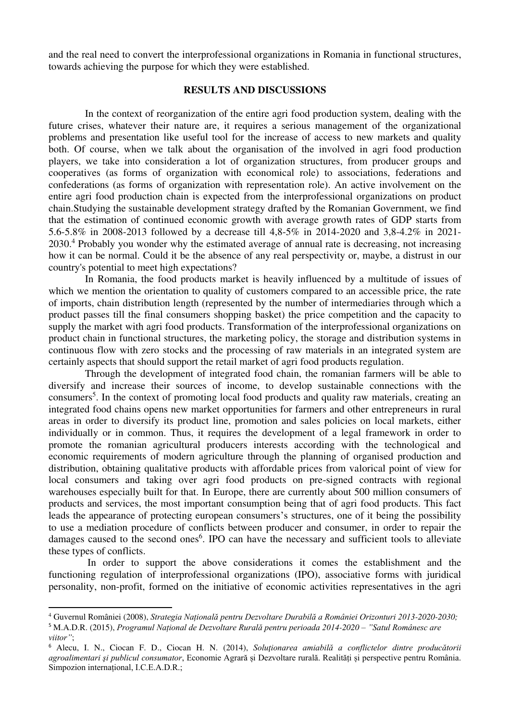and the real need to convert the interprofessional organizations in Romania in functional structures, towards achieving the purpose for which they were established.

# **RESULTS AND DISCUSSIONS**

In the context of reorganization of the entire agri food production system, dealing with the future crises, whatever their nature are, it requires a serious management of the organizational problems and presentation like useful tool for the increase of access to new markets and quality both. Of course, when we talk about the organisation of the involved in agri food production players, we take into consideration a lot of organization structures, from producer groups and cooperatives (as forms of organization with economical role) to associations, federations and confederations (as forms of organization with representation role). An active involvement on the entire agri food production chain is expected from the interprofessional organizations on product chain.Studying the sustainable development strategy drafted by the Romanian Government, we find that the estimation of continued economic growth with average growth rates of GDP starts from 5.6-5.8% in 2008-2013 followed by a decrease till 4,8-5% in 2014-2020 and 3,8-4.2% in 2021- 2030.<sup>4</sup> Probably you wonder why the estimated average of annual rate is decreasing, not increasing how it can be normal. Could it be the absence of any real perspectivity or, maybe, a distrust in our country's potential to meet high expectations?

In Romania, the food products market is heavily influenced by a multitude of issues of which we mention the orientation to quality of customers compared to an accessible price, the rate of imports, chain distribution length (represented by the number of intermediaries through which a product passes till the final consumers shopping basket) the price competition and the capacity to supply the market with agri food products. Transformation of the interprofessional organizations on product chain in functional structures, the marketing policy, the storage and distribution systems in continuous flow with zero stocks and the processing of raw materials in an integrated system are certainly aspects that should support the retail market of agri food products regulation.

Through the development of integrated food chain, the romanian farmers will be able to diversify and increase their sources of income, to develop sustainable connections with the consumers<sup>5</sup>. In the context of promoting local food products and quality raw materials, creating an integrated food chains opens new market opportunities for farmers and other entrepreneurs in rural areas in order to diversify its product line, promotion and sales policies on local markets, either individually or in common. Thus, it requires the development of a legal framework in order to promote the romanian agricultural producers interests according with the technological and economic requirements of modern agriculture through the planning of organised production and distribution, obtaining qualitative products with affordable prices from valorical point of view for local consumers and taking over agri food products on pre-signed contracts with regional warehouses especially built for that. In Europe, there are currently about 500 million consumers of products and services, the most important consumption being that of agri food products. This fact leads the appearance of protecting european consumers's structures, one of it being the possibility to use a mediation procedure of conflicts between producer and consumer, in order to repair the damages caused to the second ones<sup>6</sup>. IPO can have the necessary and sufficient tools to alleviate these types of conflicts.

 In order to support the above considerations it comes the establishment and the functioning regulation of interprofessional organizations (IPO), associative forms with juridical personality, non-profit, formed on the initiative of economic activities representatives in the agri

l

<sup>4</sup> Guvernul României (2008), *Strategia Națională pentru Dezvoltare Durabilă a României Orizonturi 2013-2020-2030;*

<sup>5</sup> M.A.D.R. (2015), *Programul Național de Dezvoltare Rurală pentru perioada 2014-2020 – "Satul Românesc are viitor"*;

<sup>6</sup> Alecu, I. N., Ciocan F. D., Ciocan H. N. (2014), *Soluţionarea amiabilă a conflictelor dintre producătorii agroalimentari şi publicul consumator*, Economie Agrară și Dezvoltare rurală. Realități și perspective pentru România. Simpozion internațional, I.C.E.A.D.R.;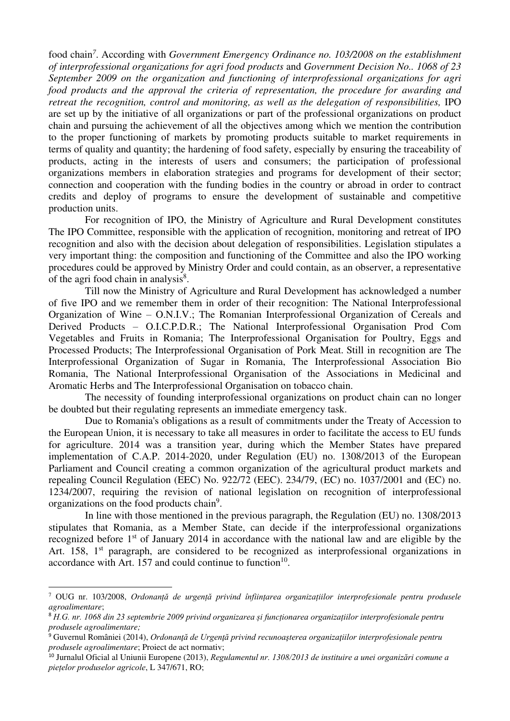food chain*<sup>7</sup>* . According with *Government Emergency Ordinance no. 103/2008 on the establishment of interprofessional organizations for agri food products* and *Government Decision No.. 1068 of 23 September 2009 on the organization and functioning of interprofessional organizations for agri food products and the approval the criteria of representation, the procedure for awarding and retreat the recognition, control and monitoring, as well as the delegation of responsibilities, IPO* are set up by the initiative of all organizations or part of the professional organizations on product chain and pursuing the achievement of all the objectives among which we mention the contribution to the proper functioning of markets by promoting products suitable to market requirements in terms of quality and quantity; the hardening of food safety, especially by ensuring the traceability of products, acting in the interests of users and consumers; the participation of professional organizations members in elaboration strategies and programs for development of their sector; connection and cooperation with the funding bodies in the country or abroad in order to contract credits and deploy of programs to ensure the development of sustainable and competitive production units.

For recognition of IPO, the Ministry of Agriculture and Rural Development constitutes The IPO Committee, responsible with the application of recognition, monitoring and retreat of IPO recognition and also with the decision about delegation of responsibilities. Legislation stipulates a very important thing: the composition and functioning of the Committee and also the IPO working procedures could be approved by Ministry Order and could contain, as an observer, a representative of the agri food chain in analysis<sup>8</sup>.

Till now the Ministry of Agriculture and Rural Development has acknowledged a number of five IPO and we remember them in order of their recognition: The National Interprofessional Organization of Wine – O.N.I.V.; The Romanian Interprofessional Organization of Cereals and Derived Products – O.I.C.P.D.R.; The National Interprofessional Organisation Prod Com Vegetables and Fruits in Romania; The Interprofessional Organisation for Poultry, Eggs and Processed Products; The Interprofessional Organisation of Pork Meat. Still in recognition are The Interprofessional Organization of Sugar in Romania, The Interprofessional Association Bio Romania, The National Interprofessional Organisation of the Associations in Medicinal and Aromatic Herbs and The Interprofessional Organisation on tobacco chain.

The necessity of founding interprofessional organizations on product chain can no longer be doubted but their regulating represents an immediate emergency task.

Due to Romania's obligations as a result of commitments under the Treaty of Accession to the European Union, it is necessary to take all measures in order to facilitate the access to EU funds for agriculture. 2014 was a transition year, during which the Member States have prepared implementation of C.A.P. 2014-2020, under Regulation (EU) no. 1308/2013 of the European Parliament and Council creating a common organization of the agricultural product markets and repealing Council Regulation (EEC) No. 922/72 (EEC). 234/79, (EC) no. 1037/2001 and (EC) no. 1234/2007, requiring the revision of national legislation on recognition of interprofessional organizations on the food products chain<sup>9</sup>.

In line with those mentioned in the previous paragraph, the Regulation (EU) no. 1308/2013 stipulates that Romania, as a Member State, can decide if the interprofessional organizations recognized before 1st of January 2014 in accordance with the national law and are eligible by the Art. 158,  $1<sup>st</sup>$  paragraph, are considered to be recognized as interprofessional organizations in accordance with Art. 157 and could continue to function<sup>10</sup>.

 $\overline{a}$ 

<sup>7</sup> OUG nr. 103/2008, *Ordonanță de urgență privind înființarea organizațiilor interprofesionale pentru produsele agroalimentare*;

<sup>8</sup> *H.G. nr. 1068 din 23 septembrie 2009 privind organizarea și funcționarea organizațiilor interprofesionale pentru produsele agroalimentare;*

<sup>9</sup> Guvernul României (2014), *Ordonanţă de Urgenţă privind recunoaşterea organizaţiilor interprofesionale pentru produsele agroalimentare*; Proiect de act normativ;

<sup>10</sup> Jurnalul Oficial al Uniunii Europene (2013), *Regulamentul nr. 1308/2013 de instituire a unei organizări comune a piețelor produselor agricole*, L 347/671, RO;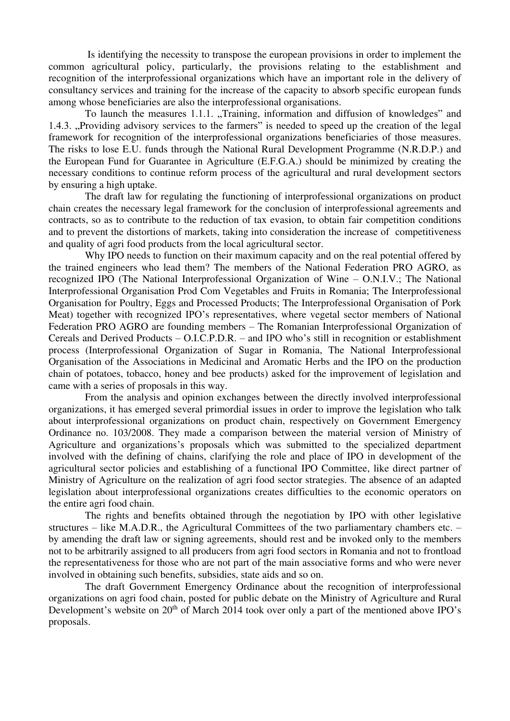Is identifying the necessity to transpose the european provisions in order to implement the common agricultural policy, particularly, the provisions relating to the establishment and recognition of the interprofessional organizations which have an important role in the delivery of consultancy services and training for the increase of the capacity to absorb specific european funds among whose beneficiaries are also the interprofessional organisations.

To launch the measures 1.1.1. "Training, information and diffusion of knowledges" and 1.4.3. "Providing advisory services to the farmers" is needed to speed up the creation of the legal framework for recognition of the interprofessional organizations beneficiaries of those measures. The risks to lose E.U. funds through the National Rural Development Programme (N.R.D.P.) and the European Fund for Guarantee in Agriculture (E.F.G.A.) should be minimized by creating the necessary conditions to continue reform process of the agricultural and rural development sectors by ensuring a high uptake.

The draft law for regulating the functioning of interprofessional organizations on product chain creates the necessary legal framework for the conclusion of interprofessional agreements and contracts, so as to contribute to the reduction of tax evasion, to obtain fair competition conditions and to prevent the distortions of markets, taking into consideration the increase of competitiveness and quality of agri food products from the local agricultural sector.

Why IPO needs to function on their maximum capacity and on the real potential offered by the trained engineers who lead them? The members of the National Federation PRO AGRO, as recognized IPO (The National Interprofessional Organization of Wine – O.N.I.V.; The National Interprofessional Organisation Prod Com Vegetables and Fruits in Romania; The Interprofessional Organisation for Poultry, Eggs and Processed Products; The Interprofessional Organisation of Pork Meat) together with recognized IPO's representatives, where vegetal sector members of National Federation PRO AGRO are founding members – The Romanian Interprofessional Organization of Cereals and Derived Products – O.I.C.P.D.R. – and IPO who's still in recognition or establishment process (Interprofessional Organization of Sugar in Romania, The National Interprofessional Organisation of the Associations in Medicinal and Aromatic Herbs and the IPO on the production chain of potatoes, tobacco, honey and bee products) asked for the improvement of legislation and came with a series of proposals in this way.

From the analysis and opinion exchanges between the directly involved interprofessional organizations, it has emerged several primordial issues in order to improve the legislation who talk about interprofessional organizations on product chain, respectively on Government Emergency Ordinance no. 103/2008. They made a comparison between the material version of Ministry of Agriculture and organizations's proposals which was submitted to the specialized department involved with the defining of chains, clarifying the role and place of IPO in development of the agricultural sector policies and establishing of a functional IPO Committee, like direct partner of Ministry of Agriculture on the realization of agri food sector strategies. The absence of an adapted legislation about interprofessional organizations creates difficulties to the economic operators on the entire agri food chain.

The rights and benefits obtained through the negotiation by IPO with other legislative structures – like M.A.D.R., the Agricultural Committees of the two parliamentary chambers etc. – by amending the draft law or signing agreements, should rest and be invoked only to the members not to be arbitrarily assigned to all producers from agri food sectors in Romania and not to frontload the representativeness for those who are not part of the main associative forms and who were never involved in obtaining such benefits, subsidies, state aids and so on.

The draft Government Emergency Ordinance about the recognition of interprofessional organizations on agri food chain, posted for public debate on the Ministry of Agriculture and Rural Development's website on  $20<sup>th</sup>$  of March 2014 took over only a part of the mentioned above IPO's proposals.